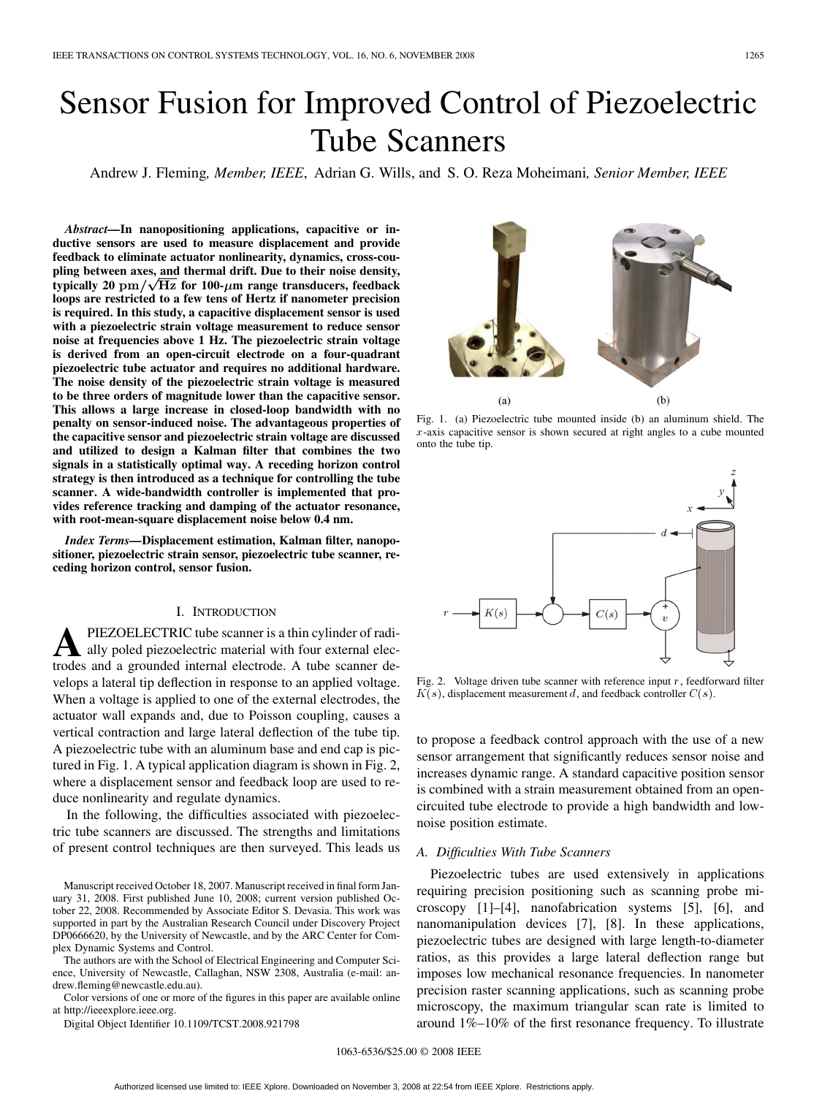# Sensor Fusion for Improved Control of Piezoelectric Tube Scanners

Andrew J. Fleming*, Member, IEEE*, Adrian G. Wills, and S. O. Reza Moheimani*, Senior Member, IEEE*

*Abstract—***In nanopositioning applications, capacitive or inductive sensors are used to measure displacement and provide feedback to eliminate actuator nonlinearity, dynamics, cross-coupling between axes, and thermal drift. Due to their noise density, typically 20**  $\text{pm}/\sqrt{\text{Hz}}$  for 100- $\mu$ m range transducers, feedback **loops are restricted to a few tens of Hertz if nanometer precision is required. In this study, a capacitive displacement sensor is used with a piezoelectric strain voltage measurement to reduce sensor noise at frequencies above 1 Hz. The piezoelectric strain voltage is derived from an open-circuit electrode on a four-quadrant piezoelectric tube actuator and requires no additional hardware. The noise density of the piezoelectric strain voltage is measured to be three orders of magnitude lower than the capacitive sensor. This allows a large increase in closed-loop bandwidth with no penalty on sensor-induced noise. The advantageous properties of the capacitive sensor and piezoelectric strain voltage are discussed and utilized to design a Kalman filter that combines the two signals in a statistically optimal way. A receding horizon control strategy is then introduced as a technique for controlling the tube scanner. A wide-bandwidth controller is implemented that provides reference tracking and damping of the actuator resonance, with root-mean-square displacement noise below 0.4 nm.**

*Index Terms—***Displacement estimation, Kalman filter, nanopositioner, piezoelectric strain sensor, piezoelectric tube scanner, receding horizon control, sensor fusion.**

#### I. INTRODUCTION

PIEZOELECTRIC tube scanner is a thin cylinder of radially poled piezoelectric material with four external electrodes and a grounded internal electrode. A tube scanner develops a lateral tip deflection in response to an applied voltage. When a voltage is applied to one of the external electrodes, the actuator wall expands and, due to Poisson coupling, causes a vertical contraction and large lateral deflection of the tube tip. A piezoelectric tube with an aluminum base and end cap is pictured in Fig. 1. A typical application diagram is shown in Fig. 2, where a displacement sensor and feedback loop are used to reduce nonlinearity and regulate dynamics.

In the following, the difficulties associated with piezoelectric tube scanners are discussed. The strengths and limitations of present control techniques are then surveyed. This leads us

The authors are with the School of Electrical Engineering and Computer Science, University of Newcastle, Callaghan, NSW 2308, Australia (e-mail: andrew.fleming@newcastle.edu.au).

Color versions of one or more of the figures in this paper are available online at http://ieeexplore.ieee.org.

Digital Object Identifier 10.1109/TCST.2008.921798

 $(b)$  $(a)$ 

Fig. 1. (a) Piezoelectric tube mounted inside (b) an aluminum shield. The  $x$ -axis capacitive sensor is shown secured at right angles to a cube mounted onto the tube tip.



Fig. 2. Voltage driven tube scanner with reference input  $r$ , feedforward filter  $K(s)$ , displacement measurement d, and feedback controller  $C(s)$ .

to propose a feedback control approach with the use of a new sensor arrangement that significantly reduces sensor noise and increases dynamic range. A standard capacitive position sensor is combined with a strain measurement obtained from an opencircuited tube electrode to provide a high bandwidth and lownoise position estimate.

# *A. Difficulties With Tube Scanners*

Piezoelectric tubes are used extensively in applications requiring precision positioning such as scanning probe microscopy [1]–[4], nanofabrication systems [5], [6], and nanomanipulation devices [7], [8]. In these applications, piezoelectric tubes are designed with large length-to-diameter ratios, as this provides a large lateral deflection range but imposes low mechanical resonance frequencies. In nanometer precision raster scanning applications, such as scanning probe microscopy, the maximum triangular scan rate is limited to around 1%–10% of the first resonance frequency. To illustrate

Manuscript received October 18, 2007. Manuscript received in final form January 31, 2008. First published June 10, 2008; current version published October 22, 2008. Recommended by Associate Editor S. Devasia. This work was supported in part by the Australian Research Council under Discovery Project DP0666620, by the University of Newcastle, and by the ARC Center for Complex Dynamic Systems and Control.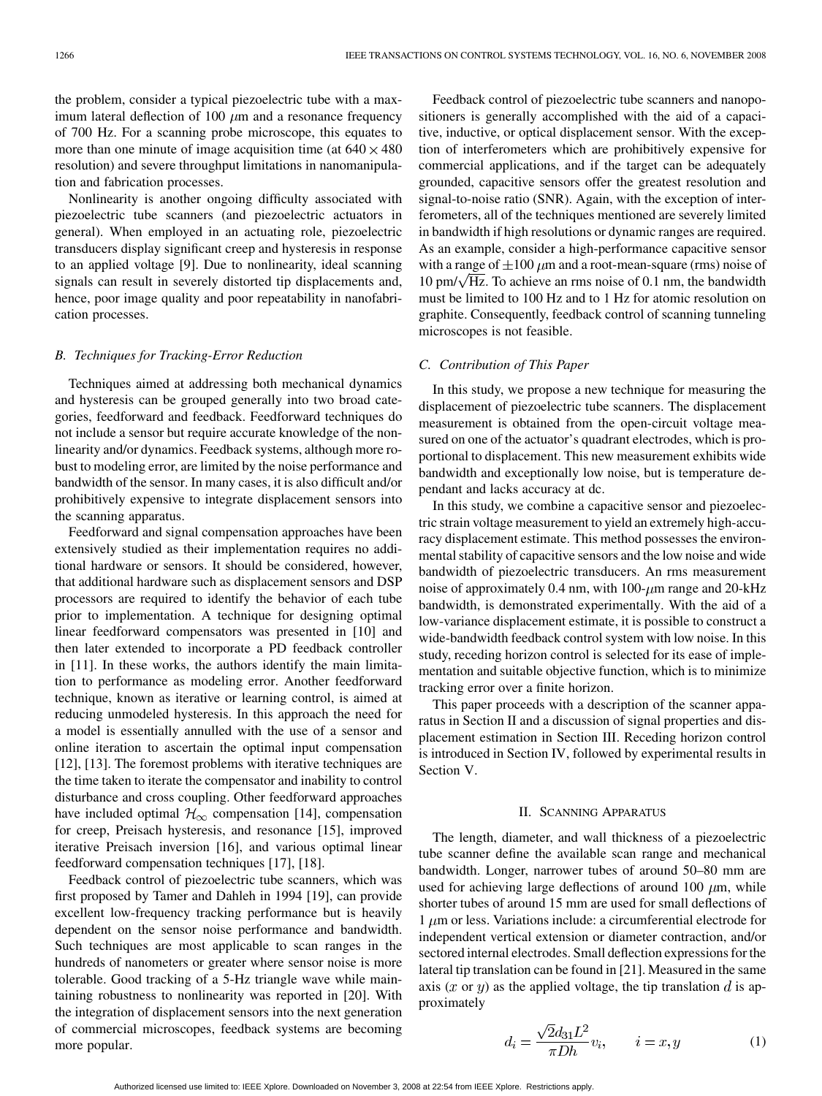the problem, consider a typical piezoelectric tube with a maximum lateral deflection of 100  $\mu$ m and a resonance frequency of 700 Hz. For a scanning probe microscope, this equates to more than one minute of image acquisition time (at  $640 \times 480$ resolution) and severe throughput limitations in nanomanipulation and fabrication processes.

Nonlinearity is another ongoing difficulty associated with piezoelectric tube scanners (and piezoelectric actuators in general). When employed in an actuating role, piezoelectric transducers display significant creep and hysteresis in response to an applied voltage [9]. Due to nonlinearity, ideal scanning signals can result in severely distorted tip displacements and, hence, poor image quality and poor repeatability in nanofabrication processes.

### *B. Techniques for Tracking-Error Reduction*

Techniques aimed at addressing both mechanical dynamics and hysteresis can be grouped generally into two broad categories, feedforward and feedback. Feedforward techniques do not include a sensor but require accurate knowledge of the nonlinearity and/or dynamics. Feedback systems, although more robust to modeling error, are limited by the noise performance and bandwidth of the sensor. In many cases, it is also difficult and/or prohibitively expensive to integrate displacement sensors into the scanning apparatus.

Feedforward and signal compensation approaches have been extensively studied as their implementation requires no additional hardware or sensors. It should be considered, however, that additional hardware such as displacement sensors and DSP processors are required to identify the behavior of each tube prior to implementation. A technique for designing optimal linear feedforward compensators was presented in [10] and then later extended to incorporate a PD feedback controller in [11]. In these works, the authors identify the main limitation to performance as modeling error. Another feedforward technique, known as iterative or learning control, is aimed at reducing unmodeled hysteresis. In this approach the need for a model is essentially annulled with the use of a sensor and online iteration to ascertain the optimal input compensation [12], [13]. The foremost problems with iterative techniques are the time taken to iterate the compensator and inability to control disturbance and cross coupling. Other feedforward approaches have included optimal  $\mathcal{H}_{\infty}$  compensation [14], compensation for creep, Preisach hysteresis, and resonance [15], improved iterative Preisach inversion [16], and various optimal linear feedforward compensation techniques [17], [18].

Feedback control of piezoelectric tube scanners, which was first proposed by Tamer and Dahleh in 1994 [19], can provide excellent low-frequency tracking performance but is heavily dependent on the sensor noise performance and bandwidth. Such techniques are most applicable to scan ranges in the hundreds of nanometers or greater where sensor noise is more tolerable. Good tracking of a 5-Hz triangle wave while maintaining robustness to nonlinearity was reported in [20]. With the integration of displacement sensors into the next generation of commercial microscopes, feedback systems are becoming more popular.

Feedback control of piezoelectric tube scanners and nanopositioners is generally accomplished with the aid of a capacitive, inductive, or optical displacement sensor. With the exception of interferometers which are prohibitively expensive for commercial applications, and if the target can be adequately grounded, capacitive sensors offer the greatest resolution and signal-to-noise ratio (SNR). Again, with the exception of interferometers, all of the techniques mentioned are severely limited in bandwidth if high resolutions or dynamic ranges are required. As an example, consider a high-performance capacitive sensor with a range of  $\pm 100 \mu$ m and a root-mean-square (rms) noise of 10 pm/ $\sqrt{Hz}$ . To achieve an rms noise of 0.1 nm, the bandwidth must be limited to 100 Hz and to 1 Hz for atomic resolution on graphite. Consequently, feedback control of scanning tunneling microscopes is not feasible.

## *C. Contribution of This Paper*

In this study, we propose a new technique for measuring the displacement of piezoelectric tube scanners. The displacement measurement is obtained from the open-circuit voltage measured on one of the actuator's quadrant electrodes, which is proportional to displacement. This new measurement exhibits wide bandwidth and exceptionally low noise, but is temperature dependant and lacks accuracy at dc.

In this study, we combine a capacitive sensor and piezoelectric strain voltage measurement to yield an extremely high-accuracy displacement estimate. This method possesses the environmental stability of capacitive sensors and the low noise and wide bandwidth of piezoelectric transducers. An rms measurement noise of approximately 0.4 nm, with  $100-\mu m$  range and  $20-\text{kHz}$ bandwidth, is demonstrated experimentally. With the aid of a low-variance displacement estimate, it is possible to construct a wide-bandwidth feedback control system with low noise. In this study, receding horizon control is selected for its ease of implementation and suitable objective function, which is to minimize tracking error over a finite horizon.

This paper proceeds with a description of the scanner apparatus in Section II and a discussion of signal properties and displacement estimation in Section III. Receding horizon control is introduced in Section IV, followed by experimental results in Section V.

# II. SCANNING APPARATUS

The length, diameter, and wall thickness of a piezoelectric tube scanner define the available scan range and mechanical bandwidth. Longer, narrower tubes of around 50–80 mm are used for achieving large deflections of around 100  $\mu$ m, while shorter tubes of around 15 mm are used for small deflections of  $1 \mu$ m or less. Variations include: a circumferential electrode for independent vertical extension or diameter contraction, and/or sectored internal electrodes. Small deflection expressions for the lateral tip translation can be found in [21]. Measured in the same axis (x or y) as the applied voltage, the tip translation d is approximately

$$
d_i = \frac{\sqrt{2}d_{31}L^2}{\pi Dh}v_i, \qquad i = x, y \tag{1}
$$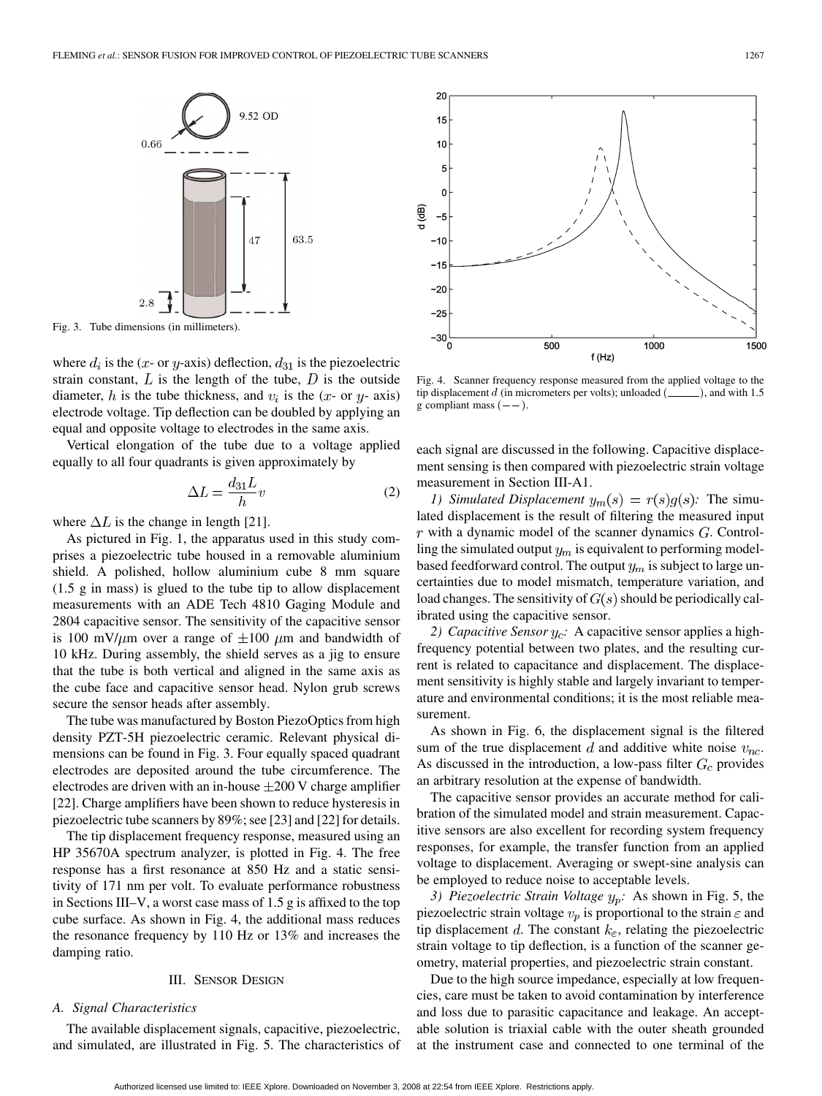

Fig. 3. Tube dimensions (in millimeters).

where  $d_i$  is the (*x*- or *y*-axis) deflection,  $d_{31}$  is the piezoelectric strain constant,  $L$  is the length of the tube,  $D$  is the outside diameter, h is the tube thickness, and  $v_i$  is the (x- or y- axis) electrode voltage. Tip deflection can be doubled by applying an equal and opposite voltage to electrodes in the same axis.

Vertical elongation of the tube due to a voltage applied equally to all four quadrants is given approximately by

$$
\Delta L = \frac{d_{31}L}{h}v\tag{2}
$$

where  $\Delta L$  is the change in length [21].

As pictured in Fig. 1, the apparatus used in this study comprises a piezoelectric tube housed in a removable aluminium shield. A polished, hollow aluminium cube 8 mm square (1.5 g in mass) is glued to the tube tip to allow displacement measurements with an ADE Tech 4810 Gaging Module and 2804 capacitive sensor. The sensitivity of the capacitive sensor is 100 mV/ $\mu$ m over a range of  $\pm 100 \mu$ m and bandwidth of 10 kHz. During assembly, the shield serves as a jig to ensure that the tube is both vertical and aligned in the same axis as the cube face and capacitive sensor head. Nylon grub screws secure the sensor heads after assembly.

The tube was manufactured by Boston PiezoOptics from high density PZT-5H piezoelectric ceramic. Relevant physical dimensions can be found in Fig. 3. Four equally spaced quadrant electrodes are deposited around the tube circumference. The electrodes are driven with an in-house  $\pm 200$  V charge amplifier [22]. Charge amplifiers have been shown to reduce hysteresis in piezoelectric tube scanners by 89%; see [23] and [22] for details.

The tip displacement frequency response, measured using an HP 35670A spectrum analyzer, is plotted in Fig. 4. The free response has a first resonance at 850 Hz and a static sensitivity of 171 nm per volt. To evaluate performance robustness in Sections III–V, a worst case mass of 1.5 g is affixed to the top cube surface. As shown in Fig. 4, the additional mass reduces the resonance frequency by 110 Hz or 13% and increases the damping ratio.

## III. SENSOR DESIGN

## *A. Signal Characteristics*

The available displacement signals, capacitive, piezoelectric, and simulated, are illustrated in Fig. 5. The characteristics of



Fig. 4. Scanner frequency response measured from the applied voltage to the tip displacement d (in micrometers per volts); unloaded ( $\_\_\_\$ ), and with 1.5 g compliant mass ( $\_\_\$ ). Fig. 4. Scanner frequend<br>tip displacement *d* (in miag compliant mass  $(--)$ ).

each signal are discussed in the following. Capacitive displacement sensing is then compared with piezoelectric strain voltage measurement in Section III-A1.

*1) Simulated Displacement*  $y_m(s) = r(s)g(s)$ : The simulated displacement is the result of filtering the measured input  $r$  with a dynamic model of the scanner dynamics  $G$ . Controlling the simulated output  $y_m$  is equivalent to performing modelbased feedforward control. The output  $y_m$  is subject to large uncertainties due to model mismatch, temperature variation, and load changes. The sensitivity of  $G(s)$  should be periodically calibrated using the capacitive sensor.

*2) Capacitive Sensor*  $y_c$ *:* A capacitive sensor applies a highfrequency potential between two plates, and the resulting current is related to capacitance and displacement. The displacement sensitivity is highly stable and largely invariant to temperature and environmental conditions; it is the most reliable measurement.

As shown in Fig. 6, the displacement signal is the filtered sum of the true displacement d and additive white noise  $v_{nc}$ . As discussed in the introduction, a low-pass filter  $G_c$  provides an arbitrary resolution at the expense of bandwidth.

The capacitive sensor provides an accurate method for calibration of the simulated model and strain measurement. Capacitive sensors are also excellent for recording system frequency responses, for example, the transfer function from an applied voltage to displacement. Averaging or swept-sine analysis can be employed to reduce noise to acceptable levels.

*3) Piezoelectric Strain Voltage*  $y_p$ : As shown in Fig. 5, the piezoelectric strain voltage  $v_p$  is proportional to the strain  $\varepsilon$  and tip displacement d. The constant  $k_{\varepsilon}$ , relating the piezoelectric strain voltage to tip deflection, is a function of the scanner geometry, material properties, and piezoelectric strain constant.

Due to the high source impedance, especially at low frequencies, care must be taken to avoid contamination by interference and loss due to parasitic capacitance and leakage. An acceptable solution is triaxial cable with the outer sheath grounded at the instrument case and connected to one terminal of the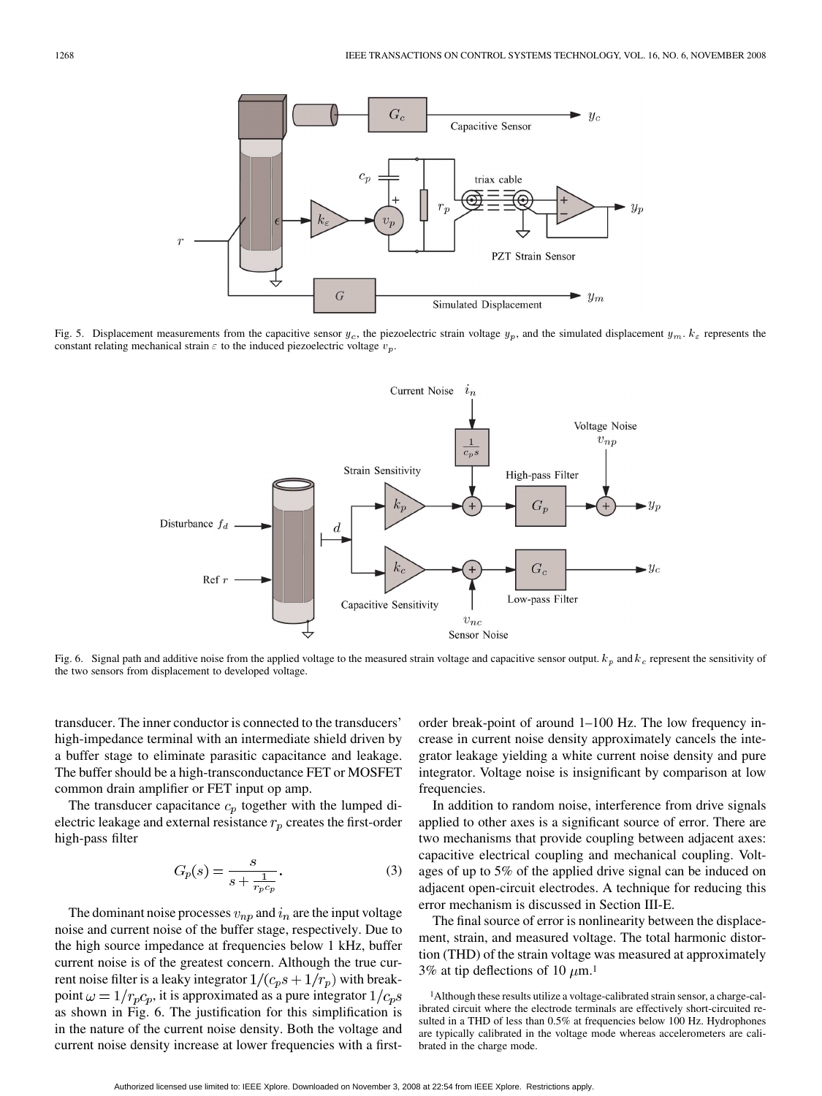

Fig. 5. Displacement measurements from the capacitive sensor  $y_c$ , the piezoelectric strain voltage  $y_p$ , and the simulated displacement  $y_m$ .  $k_\varepsilon$  represents the constant relating mechanical strain  $\varepsilon$  to the induced piezoelectric voltage  $v_p$ .



Fig. 6. Signal path and additive noise from the applied voltage to the measured strain voltage and capacitive sensor output.  $k_p$  and  $k_c$  represent the sensitivity of the two sensors from displacement to developed voltage.

transducer. The inner conductor is connected to the transducers' high-impedance terminal with an intermediate shield driven by a buffer stage to eliminate parasitic capacitance and leakage. The buffer should be a high-transconductance FET or MOSFET common drain amplifier or FET input op amp.

The transducer capacitance  $c_p$  together with the lumped dielectric leakage and external resistance  $r_p$  creates the first-order high-pass filter

$$
G_p(s) = \frac{s}{s + \frac{1}{r_p c_p}}.\tag{3}
$$

The dominant noise processes  $v_{np}$  and  $i_n$  are the input voltage noise and current noise of the buffer stage, respectively. Due to the high source impedance at frequencies below 1 kHz, buffer current noise is of the greatest concern. Although the true current noise filter is a leaky integrator  $1/(c_ps+1/r_p)$  with breakpoint  $\omega = 1/r_p c_p$ , it is approximated as a pure integrator  $1/c_p s$ as shown in Fig. 6. The justification for this simplification is in the nature of the current noise density. Both the voltage and current noise density increase at lower frequencies with a first-

order break-point of around 1–100 Hz. The low frequency increase in current noise density approximately cancels the integrator leakage yielding a white current noise density and pure integrator. Voltage noise is insignificant by comparison at low frequencies.

In addition to random noise, interference from drive signals applied to other axes is a significant source of error. There are two mechanisms that provide coupling between adjacent axes: capacitive electrical coupling and mechanical coupling. Voltages of up to 5% of the applied drive signal can be induced on adjacent open-circuit electrodes. A technique for reducing this error mechanism is discussed in Section III-E.

The final source of error is nonlinearity between the displacement, strain, and measured voltage. The total harmonic distortion (THD) of the strain voltage was measured at approximately 3% at tip deflections of 10  $\mu$ m.<sup>1</sup>

1Although these results utilize a voltage-calibrated strain sensor, a charge-calibrated circuit where the electrode terminals are effectively short-circuited resulted in a THD of less than 0.5% at frequencies below 100 Hz. Hydrophones are typically calibrated in the voltage mode whereas accelerometers are calibrated in the charge mode.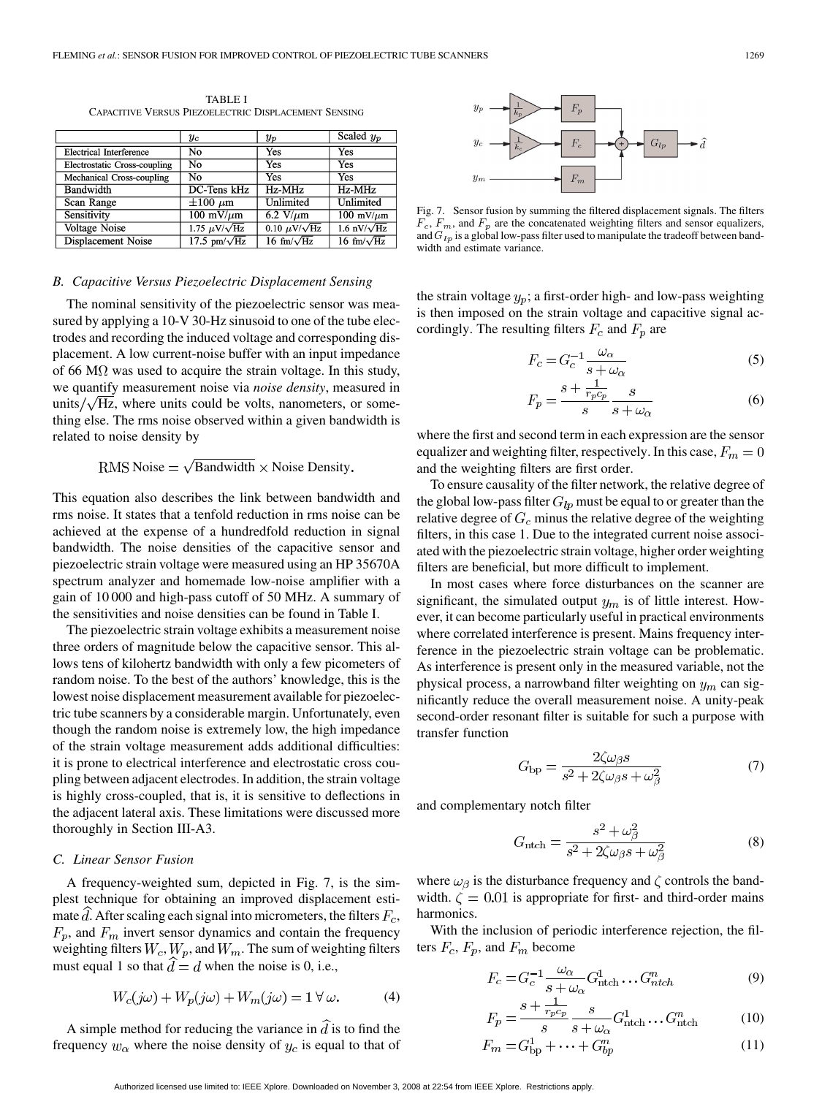|                                | $y_c$                     | $y_p$                               | Scaled $y_p$                      |
|--------------------------------|---------------------------|-------------------------------------|-----------------------------------|
| <b>Electrical Interference</b> | No                        | Yes                                 | Yes                               |
| Electrostatic Cross-coupling   | No                        | Yes                                 | Yes                               |
| Mechanical Cross-coupling      | No                        | Yes                                 | Yes                               |
| <b>Bandwidth</b>               | DC-Tens kHz               | Hz-MHz                              | $Hz-MHz$                          |
| Scan Range                     | $\pm 100 \ \mu m$         | Unlimited                           | <b>Unlimited</b>                  |
| Sensitivity                    | $100$ mV/ $\mu$ m         | $6.2$ V/ $\mu$ m                    | $100$ mV/ $\mu$ m                 |
| Voltage Noise                  | 1.75 $\mu$ V/ $\sqrt{Hz}$ | $0.10 \mu\text{V}/\sqrt{\text{Hz}}$ | $1.6 \text{ nV}/\sqrt{\text{Hz}}$ |
| Displacement Noise             | $17.5$ pm/ $\sqrt{Hz}$    | $16 \text{ fm}/\sqrt{\text{Hz}}$    | $16 \text{ fm}/\sqrt{\text{Hz}}$  |

TABLE I CAPACITIVE VERSUS PIEZOELECTRIC DISPLACEMENT SENSING

# *B. Capacitive Versus Piezoelectric Displacement Sensing*

The nominal sensitivity of the piezoelectric sensor was measured by applying a 10-V 30-Hz sinusoid to one of the tube electrodes and recording the induced voltage and corresponding displacement. A low current-noise buffer with an input impedance of 66 M $\Omega$  was used to acquire the strain voltage. In this study, we quantify measurement noise via *noise density*, measured in units/ $\sqrt{Hz}$ , where units could be volts, nanometers, or something else. The rms noise observed within a given bandwidth is related to noise density by

RMS Noise = 
$$
\sqrt{\text{Bandwidth}} \times \text{Noise Density}
$$
.

This equation also describes the link between bandwidth and rms noise. It states that a tenfold reduction in rms noise can be achieved at the expense of a hundredfold reduction in signal bandwidth. The noise densities of the capacitive sensor and piezoelectric strain voltage were measured using an HP 35670A spectrum analyzer and homemade low-noise amplifier with a gain of 10 000 and high-pass cutoff of 50 MHz. A summary of the sensitivities and noise densities can be found in Table I.

The piezoelectric strain voltage exhibits a measurement noise three orders of magnitude below the capacitive sensor. This allows tens of kilohertz bandwidth with only a few picometers of random noise. To the best of the authors' knowledge, this is the lowest noise displacement measurement available for piezoelectric tube scanners by a considerable margin. Unfortunately, even though the random noise is extremely low, the high impedance of the strain voltage measurement adds additional difficulties: it is prone to electrical interference and electrostatic cross coupling between adjacent electrodes. In addition, the strain voltage is highly cross-coupled, that is, it is sensitive to deflections in the adjacent lateral axis. These limitations were discussed more thoroughly in Section III-A3.

# *C. Linear Sensor Fusion*

A frequency-weighted sum, depicted in Fig. 7, is the simplest technique for obtaining an improved displacement estimate d. After scaling each signal into micrometers, the filters  $F_c$ ,  $F_p$ , and  $F_m$  invert sensor dynamics and contain the frequency weighting filters  $W_c$ ,  $W_p$ , and  $W_m$ . The sum of weighting filters must equal 1 so that  $\hat{d} = d$  when the noise is 0, i.e.,

$$
W_c(j\omega) + W_p(j\omega) + W_m(j\omega) = 1 \,\forall \,\omega.
$$
 (4)

A simple method for reducing the variance in  $\hat{d}$  is to find the frequency  $w_{\alpha}$  where the noise density of  $y_c$  is equal to that of



Fig. 7. Sensor fusion by summing the filtered displacement signals. The filters  $F_c$ ,  $F_m$ , and  $F_p$  are the concatenated weighting filters and sensor equalizers, and  $G_{lp}$  is a global low-pass filter used to manipulate the tradeoff between bandwidth and estimate variance.

the strain voltage  $y_p$ ; a first-order high- and low-pass weighting is then imposed on the strain voltage and capacitive signal accordingly. The resulting filters  $F_c$  and  $F_p$  are

$$
F_c = G_c^{-1} \frac{\omega_\alpha}{s + \omega_\alpha} \tag{5}
$$

$$
F_p = \frac{s + \frac{1}{r_p c_p}}{s} \frac{s}{s + \omega_\alpha} \tag{6}
$$

where the first and second term in each expression are the sensor equalizer and weighting filter, respectively. In this case,  $F_m = 0$ and the weighting filters are first order.

To ensure causality of the filter network, the relative degree of the global low-pass filter  $G_{lp}$  must be equal to or greater than the relative degree of  $G_c$  minus the relative degree of the weighting filters, in this case 1. Due to the integrated current noise associated with the piezoelectric strain voltage, higher order weighting filters are beneficial, but more difficult to implement.

In most cases where force disturbances on the scanner are significant, the simulated output  $y_m$  is of little interest. However, it can become particularly useful in practical environments where correlated interference is present. Mains frequency interference in the piezoelectric strain voltage can be problematic. As interference is present only in the measured variable, not the physical process, a narrowband filter weighting on  $y_m$  can significantly reduce the overall measurement noise. A unity-peak second-order resonant filter is suitable for such a purpose with transfer function

$$
G_{\rm bp} = \frac{2\zeta\omega_{\beta}s}{s^2 + 2\zeta\omega_{\beta}s + \omega_{\beta}^2}
$$
 (7)

and complementary notch filter

$$
G_{\text{ntch}} = \frac{s^2 + \omega_{\beta}^2}{s^2 + 2\zeta\omega_{\beta}s + \omega_{\beta}^2}
$$
(8)

where  $\omega_{\beta}$  is the disturbance frequency and  $\zeta$  controls the bandwidth.  $\zeta = 0.01$  is appropriate for first- and third-order mains harmonics.

With the inclusion of periodic interference rejection, the filters  $F_c$ ,  $F_p$ , and  $F_m$  become

$$
F_c = G_c^{-1} \frac{\omega_\alpha}{s + \omega_\alpha} G_{\text{ntch}}^1 \dots G_{\text{ntch}}^n \tag{9}
$$

$$
F_p = \frac{s + \frac{1}{r_p c_p}}{s} \frac{s}{s + \omega_\alpha} G_{\text{ntch}}^1 \dots G_{\text{ntch}}^n \tag{10}
$$

$$
F_m = G_{\rm bp}^1 + \dots + G_{bp}^n \tag{11}
$$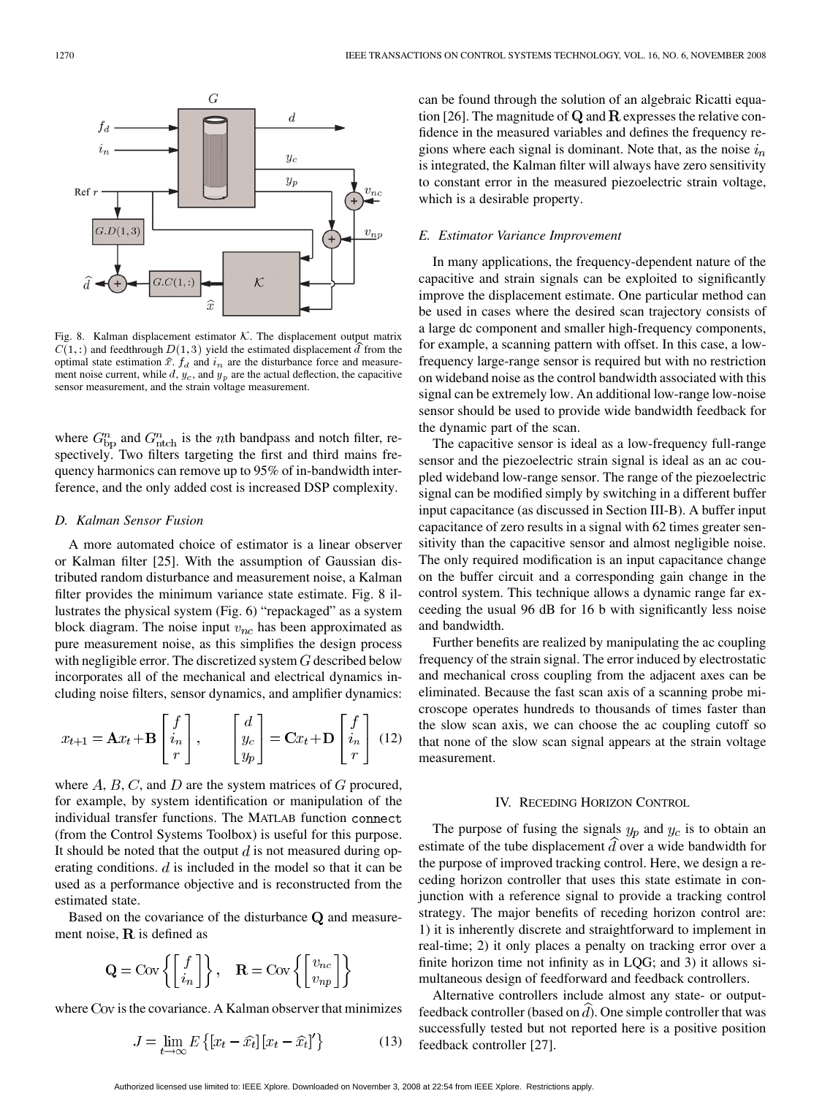

Fig. 8. Kalman displacement estimator  $K$ . The displacement output matrix  $C(1, 1)$  and feedthrough  $D(1, 3)$  yield the estimated displacement  $\hat{d}$  from the optimal state estimation  $\hat{x}$ .  $f_d$  and  $i_n$  are the disturbance force and measurement noise current, while  $d, y_c$ , and  $y_p$  are the actual deflection, the capacitive sensor measurement, and the strain voltage measurement.

where  $G_{\text{bp}}^n$  and  $G_{\text{ntch}}^n$  is the *n*th bandpass and notch filter, respectively. Two filters targeting the first and third mains frequency harmonics can remove up to 95% of in-bandwidth interference, and the only added cost is increased DSP complexity.

#### *D. Kalman Sensor Fusion*

A more automated choice of estimator is a linear observer or Kalman filter [25]. With the assumption of Gaussian distributed random disturbance and measurement noise, a Kalman filter provides the minimum variance state estimate. Fig. 8 illustrates the physical system (Fig. 6) "repackaged" as a system block diagram. The noise input  $v_{nc}$  has been approximated as pure measurement noise, as this simplifies the design process with negligible error. The discretized system  $G$  described below incorporates all of the mechanical and electrical dynamics including noise filters, sensor dynamics, and amplifier dynamics:

$$
x_{t+1} = \mathbf{A}x_t + \mathbf{B} \begin{bmatrix} f \\ i_n \\ r \end{bmatrix}, \qquad \begin{bmatrix} d \\ y_c \\ y_p \end{bmatrix} = \mathbf{C}x_t + \mathbf{D} \begin{bmatrix} f \\ i_n \\ r \end{bmatrix} \tag{12}
$$

where  $A, B, C$ , and  $D$  are the system matrices of  $G$  procured, for example, by system identification or manipulation of the individual transfer functions. The MATLAB function (from the Control Systems Toolbox) is useful for this purpose. It should be noted that the output  $d$  is not measured during operating conditions.  $d$  is included in the model so that it can be used as a performance objective and is reconstructed from the estimated state.

Based on the covariance of the disturbance  $Q$  and measurement noise,  $\bf{R}$  is defined as

$$
\mathbf{Q} = \text{Cov}\left\{ \begin{bmatrix} f \\ i_n \end{bmatrix} \right\}, \quad \mathbf{R} = \text{Cov}\left\{ \begin{bmatrix} v_{nc} \\ v_{np} \end{bmatrix} \right\}
$$

where Cov is the covariance. A Kalman observer that minimizes

$$
J = \lim_{t \to \infty} E\left\{ \left[ x_t - \hat{x}_t \right] \left[ x_t - \hat{x}_t \right]'\right\} \tag{13}
$$

can be found through the solution of an algebraic Ricatti equation [26]. The magnitude of  $\bf{Q}$  and  $\bf{R}$  expresses the relative confidence in the measured variables and defines the frequency regions where each signal is dominant. Note that, as the noise  $i_n$ is integrated, the Kalman filter will always have zero sensitivity to constant error in the measured piezoelectric strain voltage, which is a desirable property.

## *E. Estimator Variance Improvement*

In many applications, the frequency-dependent nature of the capacitive and strain signals can be exploited to significantly improve the displacement estimate. One particular method can be used in cases where the desired scan trajectory consists of a large dc component and smaller high-frequency components, for example, a scanning pattern with offset. In this case, a lowfrequency large-range sensor is required but with no restriction on wideband noise as the control bandwidth associated with this signal can be extremely low. An additional low-range low-noise sensor should be used to provide wide bandwidth feedback for the dynamic part of the scan.

The capacitive sensor is ideal as a low-frequency full-range sensor and the piezoelectric strain signal is ideal as an ac coupled wideband low-range sensor. The range of the piezoelectric signal can be modified simply by switching in a different buffer input capacitance (as discussed in Section III-B). A buffer input capacitance of zero results in a signal with 62 times greater sensitivity than the capacitive sensor and almost negligible noise. The only required modification is an input capacitance change on the buffer circuit and a corresponding gain change in the control system. This technique allows a dynamic range far exceeding the usual 96 dB for 16 b with significantly less noise and bandwidth.

Further benefits are realized by manipulating the ac coupling frequency of the strain signal. The error induced by electrostatic and mechanical cross coupling from the adjacent axes can be eliminated. Because the fast scan axis of a scanning probe microscope operates hundreds to thousands of times faster than the slow scan axis, we can choose the ac coupling cutoff so that none of the slow scan signal appears at the strain voltage measurement.

#### IV. RECEDING HORIZON CONTROL

The purpose of fusing the signals  $y_p$  and  $y_c$  is to obtain an estimate of the tube displacement  $\hat{d}$  over a wide bandwidth for the purpose of improved tracking control. Here, we design a receding horizon controller that uses this state estimate in conjunction with a reference signal to provide a tracking control strategy. The major benefits of receding horizon control are: 1) it is inherently discrete and straightforward to implement in real-time; 2) it only places a penalty on tracking error over a finite horizon time not infinity as in LQG; and 3) it allows simultaneous design of feedforward and feedback controllers.

Alternative controllers include almost any state- or outputfeedback controller (based on  $\tilde{d}$ ). One simple controller that was successfully tested but not reported here is a positive position feedback controller [27].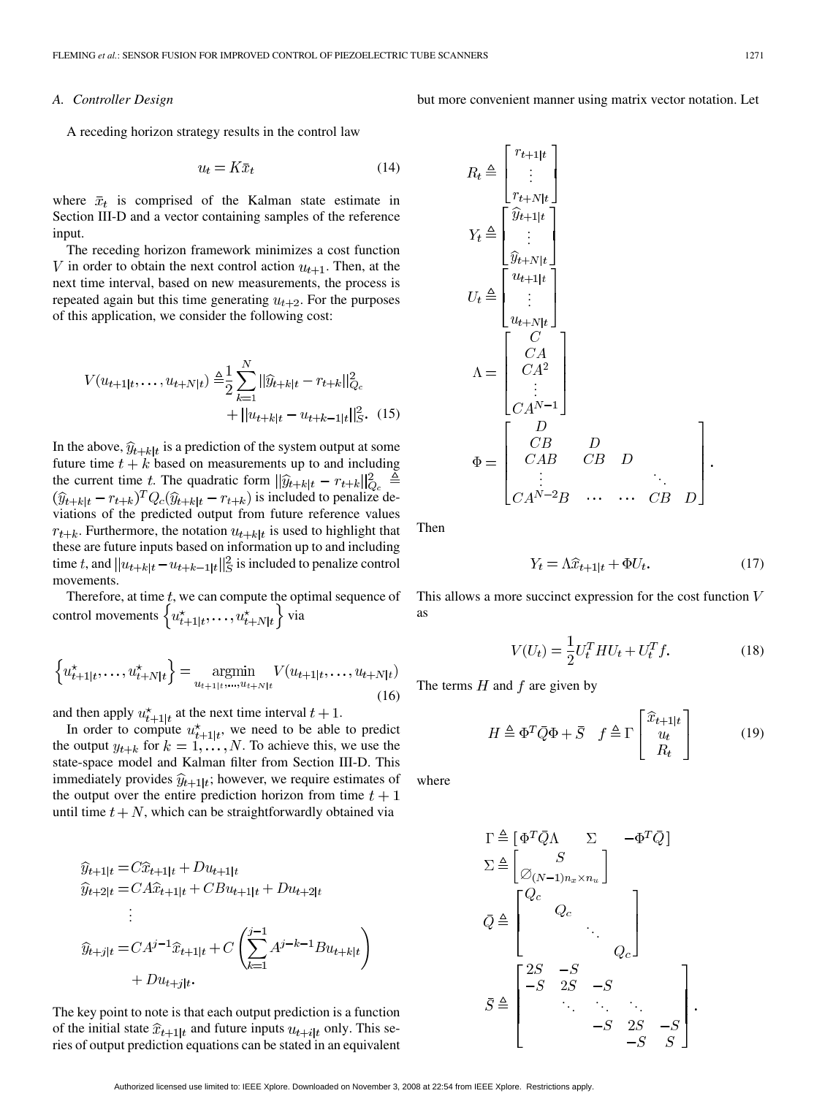#### *A. Controller Design*

A receding horizon strategy results in the control law

$$
u_t = K\bar{x}_t \tag{14}
$$

where  $\bar{x}_t$  is comprised of the Kalman state estimate in Section III-D and a vector containing samples of the reference input.

The receding horizon framework minimizes a cost function V in order to obtain the next control action  $u_{t+1}$ . Then, at the next time interval, based on new measurements, the process is repeated again but this time generating  $u_{t+2}$ . For the purposes of this application, we consider the following cost:

$$
V(u_{t+1|t},...,u_{t+N|t}) \triangleq \frac{1}{2} \sum_{k=1}^{N} ||\hat{y}_{t+k|t} - r_{t+k}||_{Q_c}^2 + ||u_{t+k|t} - u_{t+k-1|t}||_S^2.
$$
 (15)

In the above,  $\hat{y}_{t+k|t}$  is a prediction of the system output at some future time  $t + k$  based on measurements up to and including the current time t. The quadratic form  $\|\widehat{y}_{t+k}|_{t} - r_{t+k}\|_{Q_c}^2 \triangleq$  $(\widehat{y}_{t+k|t} - r_{t+k})^T Q_c(\widehat{y}_{t+k|t} - r_{t+k})$  is included to penalize deviations of the predicted output from future reference values  $r_{t+k}$ . Furthermore, the notation  $u_{t+k|t}$  is used to highlight that these are future inputs based on information up to and including time t, and  $||u_{t+k}|$   $-u_{t+k-1}|$  $||s$  is included to penalize control movements.

Therefore, at time  $t$ , we can compute the optimal sequence of control movements  $\left\{u_{t+1|t}^{\star}, \ldots, u_{t+N|t}^{\star}\right\}$  via

$$
\left\{ u_{t+1|t}^{\star}, \ldots, u_{t+N|t}^{\star} \right\} = \operatorname*{argmin}_{u_{t+1|t}, \ldots, u_{t+N|t}} V(u_{t+1|t}, \ldots, u_{t+N|t})
$$
\n(16)

and then apply  $u_{t+1|t}^*$  at the next time interval  $t+1$ .

In order to compute  $u_{t+1|t}^*$ , we need to be able to predict the output  $y_{t+k}$  for  $k = 1, \ldots, N$ . To achieve this, we use the state-space model and Kalman filter from Section III-D. This immediately provides  $\hat{y}_{t+1|t}$ ; however, we require estimates of the output over the entire prediction horizon from time  $t + 1$ until time  $t + N$ , which can be straightforwardly obtained via

$$
\widehat{y}_{t+1|t} = C\widehat{x}_{t+1|t} + Du_{t+1|t}
$$
\n
$$
\widehat{y}_{t+2|t} = CA\widehat{x}_{t+1|t} + CBu_{t+1|t} + Du_{t+2|t}
$$
\n
$$
\vdots
$$
\n
$$
\widehat{y}_{t+j|t} = CA^{j-1}\widehat{x}_{t+1|t} + C\left(\sum_{k=1}^{j-1} A^{j-k-1}Bu_{t+k|t}\right)
$$
\n
$$
+ Du_{t+j|t}.
$$

The key point to note is that each output prediction is a function of the initial state  $\hat{x}_{t+1|t}$  and future inputs  $u_{t+i|t}$  only. This series of output prediction equations can be stated in an equivalent

$$
R_{t} \triangleq \begin{bmatrix} \hat{v}_{t+1|t} \\ \vdots \\ \hat{v}_{t+N|t} \end{bmatrix}
$$
  
\n
$$
Y_{t} \triangleq \begin{bmatrix} \hat{y}_{t+1|t} \\ \hat{y}_{t+1|t} \\ \vdots \\ \hat{y}_{t+N|t} \end{bmatrix}
$$
  
\n
$$
U_{t} \triangleq \begin{bmatrix} u_{t+1|t} \\ \vdots \\ u_{t+N|t} \end{bmatrix}
$$
  
\n
$$
\Lambda = \begin{bmatrix} C \\ CA \\ \vdots \\ CA^{N-1} \end{bmatrix}
$$
  
\n
$$
\Phi = \begin{bmatrix} D \\ CB & D \\ CAB & CB & D \\ \vdots & \vdots \\ CA^{N-2}B & \cdots & \cdots & CB & D \end{bmatrix}.
$$

but more convenient manner using matrix vector notation. Let

 $r_{\text{+}}$  14  $\overline{1}$ 

Then

$$
Y_t = \Lambda \hat{x}_{t+1|t} + \Phi U_t. \tag{17}
$$

This allows a more succinct expression for the cost function  $V$ as

$$
V(U_t) = \frac{1}{2} U_t^T H U_t + U_t^T f.
$$
 (18)

The terms  $H$  and  $f$  are given by

$$
H \triangleq \Phi^T \overline{Q} \Phi + \overline{S} \quad f \triangleq \Gamma \begin{bmatrix} \hat{x}_{t+1|t} \\ u_t \\ R_t \end{bmatrix}
$$
 (19)

where

$$
\Gamma \triangleq [\Phi^T \bar{Q} \Lambda \quad \Sigma \quad -\Phi^T \bar{Q}]
$$
  
\n
$$
\Sigma \triangleq \begin{bmatrix} S \\ \varnothing_{(N-1)n_x \times n_u} \end{bmatrix}
$$
  
\n
$$
\bar{Q} \triangleq \begin{bmatrix} Q_c \\ Q_c \\ \vdots \\ Q_c \end{bmatrix}
$$
  
\n
$$
\bar{S} \triangleq \begin{bmatrix} 2S & -S \\ -S & 2S & -S \\ \vdots & \vdots & \ddots & \vdots \\ -S & 2S & -S \\ -S & S & S \end{bmatrix}
$$

Authorized licensed use limited to: IEEE Xplore. Downloaded on November 3, 2008 at 22:54 from IEEE Xplore. Restrictions apply.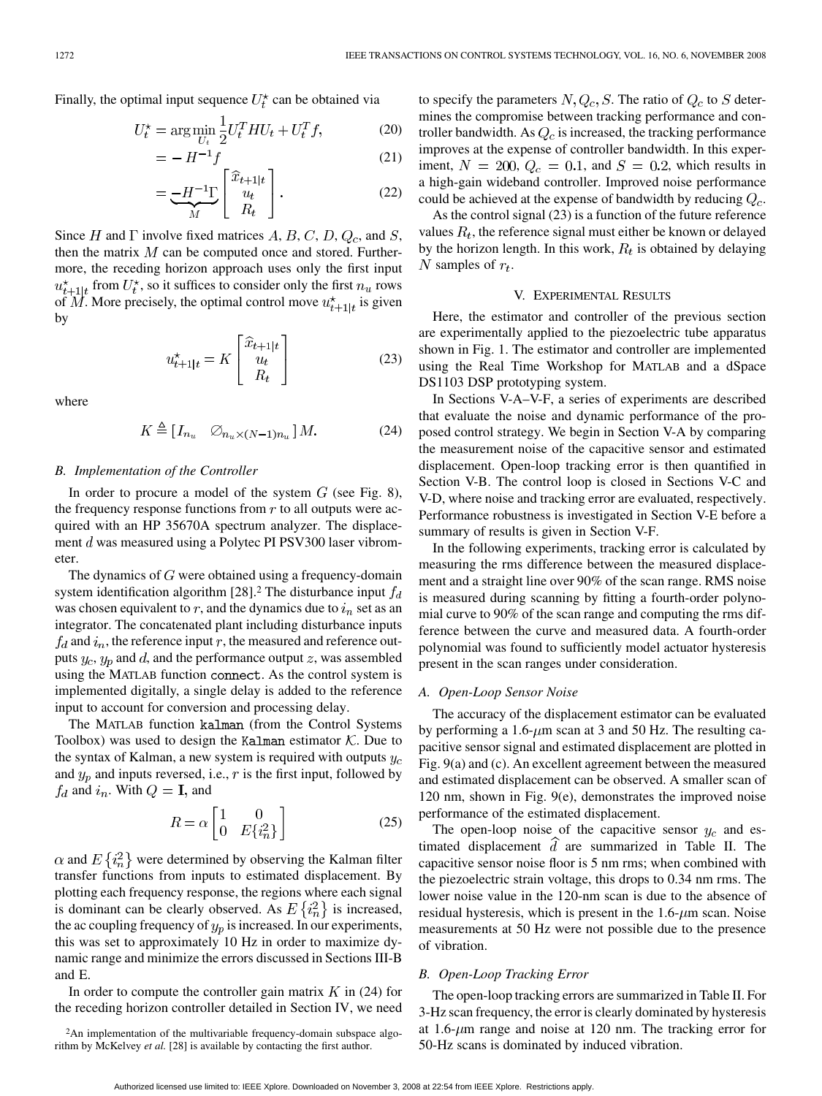Finally, the optimal input sequence  $U_t^*$  can be obtained via

$$
U_t^* = \arg\min_{U_t} \frac{1}{2} U_t^T H U_t + U_t^T f, \tag{20}
$$

$$
= -H^{-1}f
$$
\n
$$
= -H^{-1}\Gamma \begin{bmatrix} \hat{x}_{t+1|t} \\ u_t \\ R_t \end{bmatrix}.
$$
\n(21)\n(22)

Since *H* and 
$$
\Gamma
$$
 involve fixed matrices *A*, *B*, *C*, *D*, *Q<sub>c</sub>*, and *S*,  
then the matrix *M* can be computed once and stored. Furthermore, the receding horizon approach uses only the first input  
 $u_{t+1|t}^*$  from  $U_t^*$ , so it suffices to consider only the first  $n_u$  rows  
of *M*. More precisely, the optimal control move  $u_{t+1|t}^*$  is given  
by

$$
u_{t+1|t}^* = K \begin{bmatrix} \hat{x}_{t+1|t} \\ u_t \\ R_t \end{bmatrix}
$$
 (23)

where

$$
K \triangleq [I_{n_u} \quad \oslash_{n_u \times (N-1)n_u}] M. \tag{24}
$$

# *B. Implementation of the Controller*

In order to procure a model of the system  $G$  (see Fig. 8), the frequency response functions from  $r$  to all outputs were acquired with an HP 35670A spectrum analyzer. The displacement  $d$  was measured using a Polytec PI PSV300 laser vibrometer.

The dynamics of  $G$  were obtained using a frequency-domain system identification algorithm [28].<sup>2</sup> The disturbance input  $f_d$ was chosen equivalent to  $r$ , and the dynamics due to  $i_n$  set as an integrator. The concatenated plant including disturbance inputs  $f_d$  and  $i_n$ , the reference input r, the measured and reference outputs  $y_c$ ,  $y_p$  and d, and the performance output z, was assembled using the MATLAB function connect. As the control system is implemented digitally, a single delay is added to the reference input to account for conversion and processing delay.

The MATLAB function kalman (from the Control Systems Toolbox) was used to design the Kalman estimator  $K$ . Due to the syntax of Kalman, a new system is required with outputs  $y_c$ and  $y_p$  and inputs reversed, i.e., r is the first input, followed by  $f_d$  and  $i_n$ . With  $Q = I$ , and

$$
R = \alpha \begin{bmatrix} 1 & 0 \\ 0 & E\{i_n^2\} \end{bmatrix}
$$
 (25)

 $\alpha$  and  $E\left\{i_n^2\right\}$  were determined by observing the Kalman filter transfer functions from inputs to estimated displacement. By plotting each frequency response, the regions where each signal is dominant can be clearly observed. As  $E\left\{i_n^2\right\}$  is increased, the ac coupling frequency of  $y_p$  is increased. In our experiments, this was set to approximately 10 Hz in order to maximize dynamic range and minimize the errors discussed in Sections III-B and E.

In order to compute the controller gain matrix  $K$  in (24) for the receding horizon controller detailed in Section IV, we need

to specify the parameters  $N, Q_c, S$ . The ratio of  $Q_c$  to S determines the compromise between tracking performance and controller bandwidth. As  $Q_c$  is increased, the tracking performance improves at the expense of controller bandwidth. In this experiment,  $N = 200$ ,  $Q_c = 0.1$ , and  $S = 0.2$ , which results in a high-gain wideband controller. Improved noise performance could be achieved at the expense of bandwidth by reducing  $Q_c$ .

As the control signal (23) is a function of the future reference values  $R_t$ , the reference signal must either be known or delayed by the horizon length. In this work,  $R_t$  is obtained by delaying N samples of  $r_t$ .

# V. EXPERIMENTAL RESULTS

Here, the estimator and controller of the previous section are experimentally applied to the piezoelectric tube apparatus shown in Fig. 1. The estimator and controller are implemented using the Real Time Workshop for MATLAB and a dSpace DS1103 DSP prototyping system.

In Sections V-A–V-F, a series of experiments are described that evaluate the noise and dynamic performance of the proposed control strategy. We begin in Section V-A by comparing the measurement noise of the capacitive sensor and estimated displacement. Open-loop tracking error is then quantified in Section V-B. The control loop is closed in Sections V-C and V-D, where noise and tracking error are evaluated, respectively. Performance robustness is investigated in Section V-E before a summary of results is given in Section V-F.

In the following experiments, tracking error is calculated by measuring the rms difference between the measured displacement and a straight line over 90% of the scan range. RMS noise is measured during scanning by fitting a fourth-order polynomial curve to 90% of the scan range and computing the rms difference between the curve and measured data. A fourth-order polynomial was found to sufficiently model actuator hysteresis present in the scan ranges under consideration.

#### *A. Open-Loop Sensor Noise*

The accuracy of the displacement estimator can be evaluated by performing a 1.6- $\mu$ m scan at 3 and 50 Hz. The resulting capacitive sensor signal and estimated displacement are plotted in Fig. 9(a) and (c). An excellent agreement between the measured and estimated displacement can be observed. A smaller scan of 120 nm, shown in Fig. 9(e), demonstrates the improved noise performance of the estimated displacement.

The open-loop noise of the capacitive sensor  $y_c$  and estimated displacement  $\hat{d}$  are summarized in Table II. The capacitive sensor noise floor is 5 nm rms; when combined with the piezoelectric strain voltage, this drops to 0.34 nm rms. The lower noise value in the 120-nm scan is due to the absence of residual hysteresis, which is present in the  $1.6$ - $\mu$ m scan. Noise measurements at 50 Hz were not possible due to the presence of vibration.

#### *B. Open-Loop Tracking Error*

The open-loop tracking errors are summarized in Table II. For 3-Hz scan frequency, the error is clearly dominated by hysteresis at 1.6- $\mu$ m range and noise at 120 nm. The tracking error for 50-Hz scans is dominated by induced vibration.

<sup>2</sup>An implementation of the multivariable frequency-domain subspace algorithm by McKelvey *et al.* [28] is available by contacting the first author.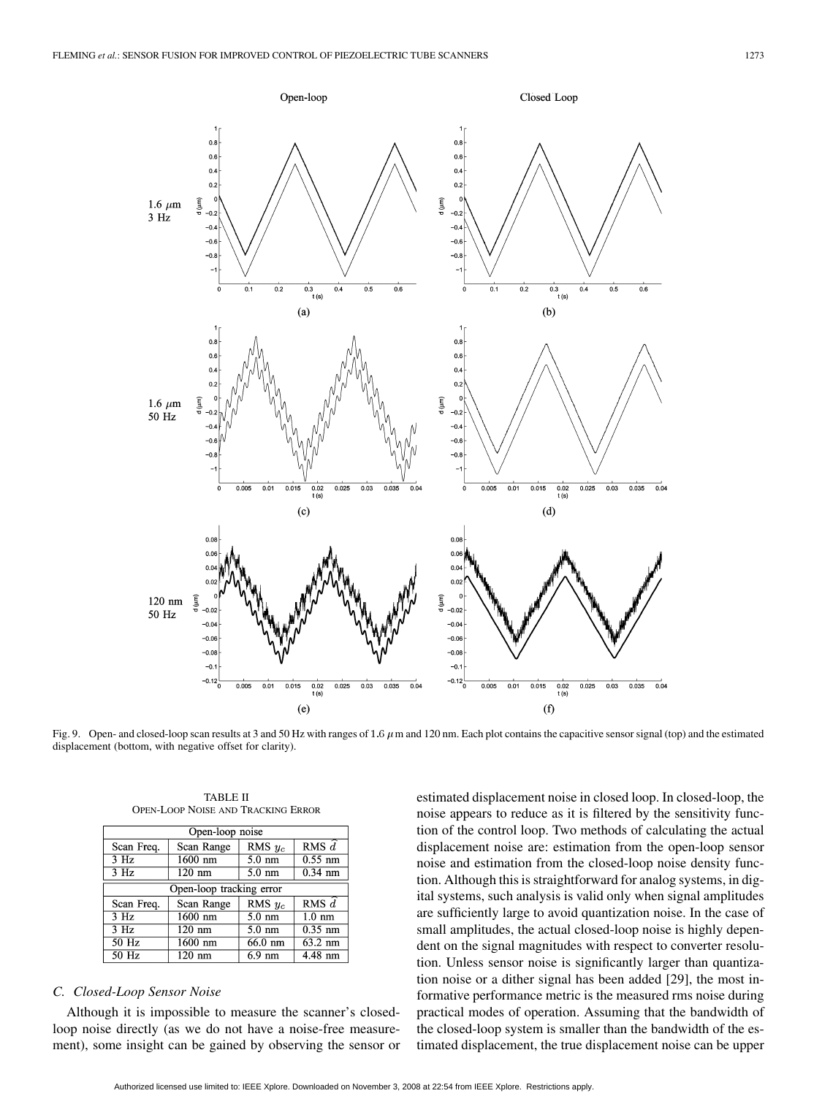

Fig. 9. Open- and closed-loop scan results at 3 and 50 Hz with ranges of  $1.6 \mu$ m and  $120 \text{ nm}$ . Each plot contains the capacitive sensor signal (top) and the estimated displacement (bottom, with negative offset for clarity).

| Open-loop noise          |                     |                     |                   |  |  |
|--------------------------|---------------------|---------------------|-------------------|--|--|
| Scan Freq.               | Scan Range          | RMS $y_c$           | $RMS$ $d$         |  |  |
| 3 Hz                     | $1600$ nm           | $\overline{5.0}$ nm | $0.55$ nm         |  |  |
| 3 Hz                     | $\overline{120}$ nm | $5.0 \text{ nm}$    | $0.34$ nm         |  |  |
| Open-loop tracking error |                     |                     |                   |  |  |
| Scan Freq.               | Scan Range          | RMS $y_c$           | RMS $d$           |  |  |
| $\overline{3}$ Hz        | 1600 nm             | $5.0 \text{ nm}$    | $1.0 \text{ nm}$  |  |  |
| $3$ Hz                   | $\overline{120}$ nm | $5.0 \text{ nm}$    | $0.35$ nm         |  |  |
| 50 Hz                    | $1600$ nm           | $66.0 \text{ nm}$   | $63.2 \text{ nm}$ |  |  |
| 50 Hz                    | $120 \text{ nm}$    | $6.9 \text{ nm}$    | 4.48 nm           |  |  |

TABLE II OPEN-LOOP NOISE AND TRACKING ERROR

# *C. Closed-Loop Sensor Noise*

Although it is impossible to measure the scanner's closedloop noise directly (as we do not have a noise-free measurement), some insight can be gained by observing the sensor or estimated displacement noise in closed loop. In closed-loop, the noise appears to reduce as it is filtered by the sensitivity function of the control loop. Two methods of calculating the actual displacement noise are: estimation from the open-loop sensor noise and estimation from the closed-loop noise density function. Although this is straightforward for analog systems, in digital systems, such analysis is valid only when signal amplitudes are sufficiently large to avoid quantization noise. In the case of small amplitudes, the actual closed-loop noise is highly dependent on the signal magnitudes with respect to converter resolution. Unless sensor noise is significantly larger than quantization noise or a dither signal has been added [29], the most informative performance metric is the measured rms noise during practical modes of operation. Assuming that the bandwidth of the closed-loop system is smaller than the bandwidth of the estimated displacement, the true displacement noise can be upper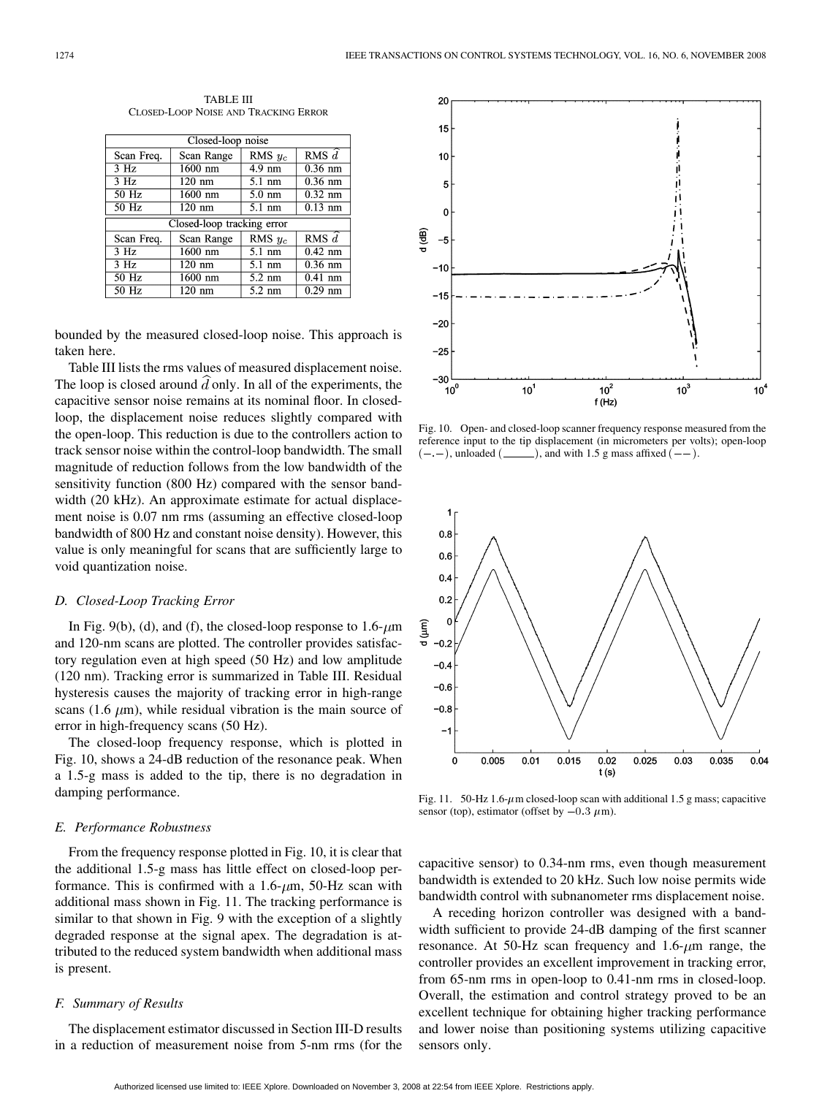| Closed-loop noise          |                      |                     |                      |  |  |
|----------------------------|----------------------|---------------------|----------------------|--|--|
| Scan Freq.                 | Scan Range           | RMS $y_c$           | RMS $\widehat{d}$    |  |  |
| 3 Hz                       | $\overline{1600}$ nm | $\overline{4.9}$ nm | $\overline{0.36}$ nm |  |  |
| 3 H <sub>z</sub>           | $120 \text{ nm}$     | $5.1 \text{ nm}$    | $0.36$ nm            |  |  |
| 50 Hz                      | $1600$ nm            | $5.0 \text{ nm}$    | $0.32$ nm            |  |  |
| 50 Hz                      | $120$ nm             | $5.1 \text{ nm}$    | $0.13$ nm            |  |  |
| Closed-loop tracking error |                      |                     |                      |  |  |
| Scan Freq.                 | Scan Range           | RMS $y_c$           | RMS $\widehat{d}$    |  |  |
| 3 Hz                       | $1600$ nm            | $\overline{5.1}$ nm | $0.42$ nm            |  |  |
| 3 Hz                       | $120 \text{ nm}$     | $5.1 \text{ nm}$    | $\overline{0.36}$ nm |  |  |
| $50$ Hz                    | $1600$ nm            | $5.2 \text{ nm}$    | $0.41$ nm            |  |  |
| 50 Hz                      | $120 \text{ nm}$     | $5.2 \text{ nm}$    | $0.29$ nm            |  |  |

TABLE III CLOSED-LOOP NOISE AND TRACKING ERROR

bounded by the measured closed-loop noise. This approach is taken here.

Table III lists the rms values of measured displacement noise. The loop is closed around  $d$  only. In all of the experiments, the capacitive sensor noise remains at its nominal floor. In closedloop, the displacement noise reduces slightly compared with the open-loop. This reduction is due to the controllers action to track sensor noise within the control-loop bandwidth. The small magnitude of reduction follows from the low bandwidth of the sensitivity function (800 Hz) compared with the sensor bandwidth (20 kHz). An approximate estimate for actual displacement noise is 0.07 nm rms (assuming an effective closed-loop bandwidth of 800 Hz and constant noise density). However, this value is only meaningful for scans that are sufficiently large to void quantization noise.

## *D. Closed-Loop Tracking Error*

In Fig. 9(b), (d), and (f), the closed-loop response to  $1.6-\mu m$ and 120-nm scans are plotted. The controller provides satisfactory regulation even at high speed (50 Hz) and low amplitude (120 nm). Tracking error is summarized in Table III. Residual hysteresis causes the majority of tracking error in high-range scans (1.6  $\mu$ m), while residual vibration is the main source of error in high-frequency scans (50 Hz).

The closed-loop frequency response, which is plotted in Fig. 10, shows a 24-dB reduction of the resonance peak. When a 1.5-g mass is added to the tip, there is no degradation in damping performance.

#### *E. Performance Robustness*

From the frequency response plotted in Fig. 10, it is clear that the additional 1.5-g mass has little effect on closed-loop performance. This is confirmed with a  $1.6-\mu m$ , 50-Hz scan with additional mass shown in Fig. 11. The tracking performance is similar to that shown in Fig. 9 with the exception of a slightly degraded response at the signal apex. The degradation is attributed to the reduced system bandwidth when additional mass is present.

## *F. Summary of Results*

The displacement estimator discussed in Section III-D results in a reduction of measurement noise from 5-nm rms (for the



Fig. 10. Open- and closed-loop scanner frequency response measured from the reference input to the tip displacement (in micrometers per volts); open-loop Fig. 10. Open- and closed-loop scanner frequency response mear-<br>reference input to the tip displacement (in micrometers per vo<br> $(-,-)$ , unloaded ( $(\_\_\_\_$ ), and with 1.5 g mass affixed  $(--)$ .



Fig. 11. 50-Hz 1.6- $\mu$ m closed-loop scan with additional 1.5 g mass; capacitive t (s)<br>Fig. 11. 50-Hz 1.6- $\mu$ m closed-loop scan wit<br>sensor (top), estimator (offset by  $-0.3 \mu$ m).

capacitive sensor) to 0.34-nm rms, even though measurement bandwidth is extended to 20 kHz. Such low noise permits wide bandwidth control with subnanometer rms displacement noise.

A receding horizon controller was designed with a bandwidth sufficient to provide 24-dB damping of the first scanner resonance. At 50-Hz scan frequency and  $1.6$ - $\mu$ m range, the controller provides an excellent improvement in tracking error, from 65-nm rms in open-loop to 0.41-nm rms in closed-loop. Overall, the estimation and control strategy proved to be an excellent technique for obtaining higher tracking performance and lower noise than positioning systems utilizing capacitive sensors only.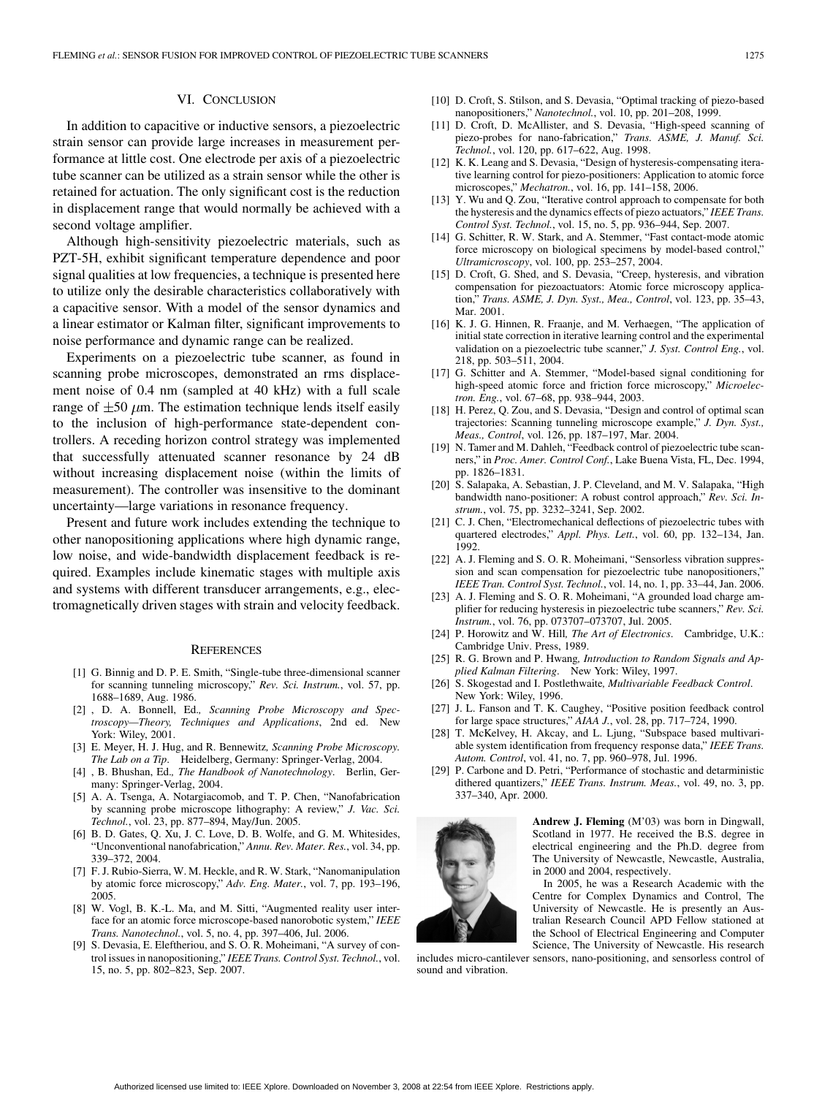# VI. CONCLUSION

In addition to capacitive or inductive sensors, a piezoelectric strain sensor can provide large increases in measurement performance at little cost. One electrode per axis of a piezoelectric tube scanner can be utilized as a strain sensor while the other is retained for actuation. The only significant cost is the reduction in displacement range that would normally be achieved with a second voltage amplifier.

Although high-sensitivity piezoelectric materials, such as PZT-5H, exhibit significant temperature dependence and poor signal qualities at low frequencies, a technique is presented here to utilize only the desirable characteristics collaboratively with a capacitive sensor. With a model of the sensor dynamics and a linear estimator or Kalman filter, significant improvements to noise performance and dynamic range can be realized.

Experiments on a piezoelectric tube scanner, as found in scanning probe microscopes, demonstrated an rms displacement noise of 0.4 nm (sampled at 40 kHz) with a full scale range of  $\pm 50 \mu$ m. The estimation technique lends itself easily to the inclusion of high-performance state-dependent controllers. A receding horizon control strategy was implemented that successfully attenuated scanner resonance by 24 dB without increasing displacement noise (within the limits of measurement). The controller was insensitive to the dominant uncertainty—large variations in resonance frequency.

Present and future work includes extending the technique to other nanopositioning applications where high dynamic range, low noise, and wide-bandwidth displacement feedback is required. Examples include kinematic stages with multiple axis and systems with different transducer arrangements, e.g., electromagnetically driven stages with strain and velocity feedback.

#### **REFERENCES**

- [1] G. Binnig and D. P. E. Smith, "Single-tube three-dimensional scanner for scanning tunneling microscopy," *Rev. Sci. Instrum.*, vol. 57, pp. 1688–1689, Aug. 1986.
- [2] , D. A. Bonnell, Ed.*, Scanning Probe Microscopy and Spectroscopy—Theory, Techniques and Applications*, 2nd ed. New York: Wiley, 2001.
- [3] E. Meyer, H. J. Hug, and R. Bennewitz*, Scanning Probe Microscopy. The Lab on a Tip*. Heidelberg, Germany: Springer-Verlag, 2004.
- [4] , B. Bhushan, Ed.*, The Handbook of Nanotechnology*. Berlin, Germany: Springer-Verlag, 2004.
- [5] A. A. Tsenga, A. Notargiacomob, and T. P. Chen, "Nanofabrication by scanning probe microscope lithography: A review," *J. Vac. Sci. Technol.*, vol. 23, pp. 877–894, May/Jun. 2005.
- [6] B. D. Gates, Q. Xu, J. C. Love, D. B. Wolfe, and G. M. Whitesides, "Unconventional nanofabrication," *Annu. Rev. Mater. Res.*, vol. 34, pp. 339–372, 2004.
- [7] F. J. Rubio-Sierra, W. M. Heckle, and R. W. Stark, "Nanomanipulation by atomic force microscopy," *Adv. Eng. Mater.*, vol. 7, pp. 193–196, 2005.
- [8] W. Vogl, B. K.-L. Ma, and M. Sitti, "Augmented reality user interface for an atomic force microscope-based nanorobotic system," *IEEE Trans. Nanotechnol.*, vol. 5, no. 4, pp. 397–406, Jul. 2006.
- [9] S. Devasia, E. Eleftheriou, and S. O. R. Moheimani, "A survey of control issues in nanopositioning," *IEEE Trans. Control Syst. Technol.*, vol. 15, no. 5, pp. 802–823, Sep. 2007.
- [10] D. Croft, S. Stilson, and S. Devasia, "Optimal tracking of piezo-based nanopositioners," *Nanotechnol.*, vol. 10, pp. 201–208, 1999.
- [11] D. Croft, D. McAllister, and S. Devasia, "High-speed scanning of piezo-probes for nano-fabrication," *Trans. ASME, J. Manuf. Sci. Technol.*, vol. 120, pp. 617–622, Aug. 1998.
- [12] K. K. Leang and S. Devasia, "Design of hysteresis-compensating iterative learning control for piezo-positioners: Application to atomic force microscopes," *Mechatron.*, vol. 16, pp. 141–158, 2006.
- [13] Y. Wu and Q. Zou, "Iterative control approach to compensate for both the hysteresis and the dynamics effects of piezo actuators," *IEEE Trans. Control Syst. Technol.*, vol. 15, no. 5, pp. 936–944, Sep. 2007.
- [14] G. Schitter, R. W. Stark, and A. Stemmer, "Fast contact-mode atomic force microscopy on biological specimens by model-based control," *Ultramicroscopy*, vol. 100, pp. 253–257, 2004.
- [15] D. Croft, G. Shed, and S. Devasia, "Creep, hysteresis, and vibration compensation for piezoactuators: Atomic force microscopy application," *Trans. ASME, J. Dyn. Syst., Mea., Control*, vol. 123, pp. 35–43, Mar. 2001.
- [16] K. J. G. Hinnen, R. Fraanje, and M. Verhaegen, "The application of initial state correction in iterative learning control and the experimental validation on a piezoelectric tube scanner," *J. Syst. Control Eng.*, vol. 218, pp. 503–511, 2004.
- [17] G. Schitter and A. Stemmer, "Model-based signal conditioning for high-speed atomic force and friction force microscopy," *Microelectron. Eng.*, vol. 67–68, pp. 938–944, 2003.
- [18] H. Perez, Q. Zou, and S. Devasia, "Design and control of optimal scan trajectories: Scanning tunneling microscope example," *J. Dyn. Syst., Meas., Control*, vol. 126, pp. 187–197, Mar. 2004.
- [19] N. Tamer and M. Dahleh, "Feedback control of piezoelectric tube scanners," in *Proc. Amer. Control Conf.*, Lake Buena Vista, FL, Dec. 1994, pp. 1826–1831.
- [20] S. Salapaka, A. Sebastian, J. P. Cleveland, and M. V. Salapaka, "High bandwidth nano-positioner: A robust control approach," *Rev. Sci. Instrum.*, vol. 75, pp. 3232–3241, Sep. 2002.
- [21] C. J. Chen, "Electromechanical deflections of piezoelectric tubes with quartered electrodes," *Appl. Phys. Lett.*, vol. 60, pp. 132–134, Jan. 1992.
- [22] A. J. Fleming and S. O. R. Moheimani, "Sensorless vibration suppression and scan compensation for piezoelectric tube nanopositioners," *IEEE Tran. Control Syst. Technol.*, vol. 14, no. 1, pp. 33–44, Jan. 2006.
- [23] A. J. Fleming and S. O. R. Moheimani, "A grounded load charge amplifier for reducing hysteresis in piezoelectric tube scanners," *Rev. Sci. Instrum.*, vol. 76, pp. 073707–073707, Jul. 2005.
- [24] P. Horowitz and W. Hill*, The Art of Electronics*. Cambridge, U.K.: Cambridge Univ. Press, 1989.
- [25] R. G. Brown and P. Hwang*, Introduction to Random Signals and Applied Kalman Filtering*. New York: Wiley, 1997.
- [26] S. Skogestad and I. Postlethwaite*, Multivariable Feedback Control*. New York: Wiley, 1996.
- [27] J. L. Fanson and T. K. Caughey, "Positive position feedback control for large space structures," *AIAA J.*, vol. 28, pp. 717–724, 1990.
- [28] T. McKelvey, H. Akcay, and L. Ljung, "Subspace based multivariable system identification from frequency response data," *IEEE Trans. Autom. Control*, vol. 41, no. 7, pp. 960–978, Jul. 1996.
- [29] P. Carbone and D. Petri, "Performance of stochastic and detarministic dithered quantizers," *IEEE Trans. Instrum. Meas.*, vol. 49, no. 3, pp. 337–340, Apr. 2000.



**Andrew J. Fleming** (M'03) was born in Dingwall, Scotland in 1977. He received the B.S. degree in electrical engineering and the Ph.D. degree from The University of Newcastle, Newcastle, Australia, in 2000 and 2004, respectively.

In 2005, he was a Research Academic with the Centre for Complex Dynamics and Control, The University of Newcastle. He is presently an Australian Research Council APD Fellow stationed at the School of Electrical Engineering and Computer Science, The University of Newcastle. His research

includes micro-cantilever sensors, nano-positioning, and sensorless control of sound and vibration.